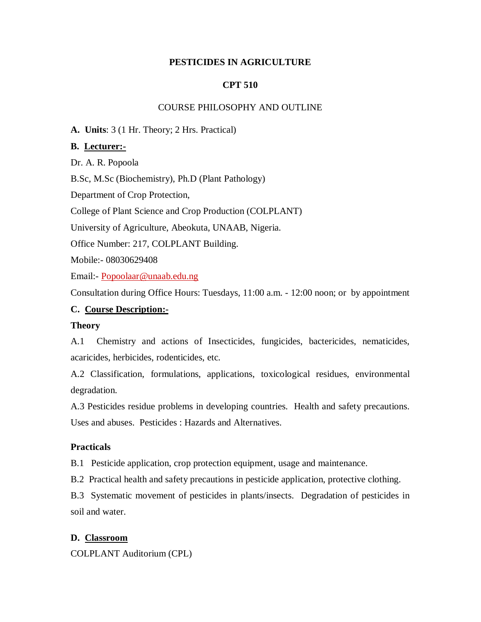### **PESTICIDES IN AGRICULTURE**

### **CPT 510**

#### COURSE PHILOSOPHY AND OUTLINE

**A. Units**: 3 (1 Hr. Theory; 2 Hrs. Practical)

#### **B. Lecturer:-**

Dr. A. R. Popoola

B.Sc, M.Sc (Biochemistry), Ph.D (Plant Pathology)

Department of Crop Protection,

College of Plant Science and Crop Production (COLPLANT)

University of Agriculture, Abeokuta, UNAAB, Nigeria.

Office Number: 217, COLPLANT Building.

Mobile:- 08030629408

Email:- Popoolaar@unaab.edu.ng

Consultation during Office Hours: Tuesdays, 11:00 a.m. - 12:00 noon; or by appointment

### **C. Course Description:-**

#### **Theory**

A.1 Chemistry and actions of Insecticides, fungicides, bactericides, nematicides, acaricides, herbicides, rodenticides, etc.

A.2 Classification, formulations, applications, toxicological residues, environmental degradation.

A.3 Pesticides residue problems in developing countries. Health and safety precautions. Uses and abuses. Pesticides : Hazards and Alternatives.

#### **Practicals**

B.1 Pesticide application, crop protection equipment, usage and maintenance.

B.2 Practical health and safety precautions in pesticide application, protective clothing.

B.3 Systematic movement of pesticides in plants/insects. Degradation of pesticides in soil and water.

### **D. Classroom**

COLPLANT Auditorium (CPL)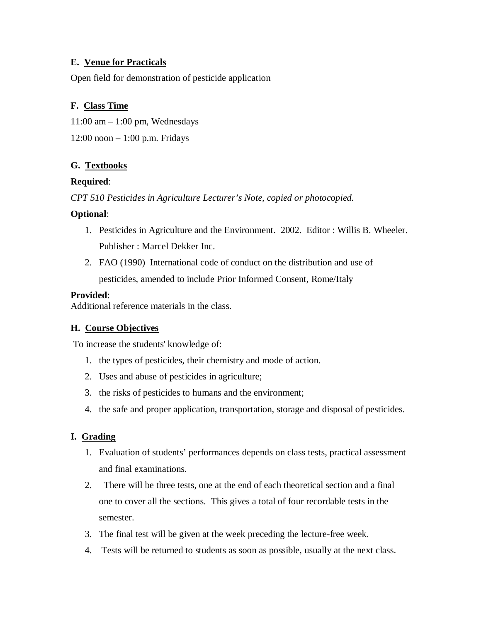### **E. Venue for Practicals**

Open field for demonstration of pesticide application

## **F. Class Time**

 $11:00$  am  $-1:00$  pm, Wednesdays

12:00 noon – 1:00 p.m. Fridays

## **G. Textbooks**

## **Required**:

*CPT 510 Pesticides in Agriculture Lecturer's Note, copied or photocopied.*

## **Optional**:

- 1. Pesticides in Agriculture and the Environment. 2002. Editor : Willis B. Wheeler. Publisher : Marcel Dekker Inc.
- 2. FAO (1990) International code of conduct on the distribution and use of pesticides, amended to include Prior Informed Consent, Rome/Italy

### **Provided**:

Additional reference materials in the class.

## **H. Course Objectives**

To increase the students' knowledge of:

- 1. the types of pesticides, their chemistry and mode of action.
- 2. Uses and abuse of pesticides in agriculture;
- 3. the risks of pesticides to humans and the environment;
- 4. the safe and proper application, transportation, storage and disposal of pesticides.

## **I. Grading**

- 1. Evaluation of students' performances depends on class tests, practical assessment and final examinations.
- 2. There will be three tests, one at the end of each theoretical section and a final one to cover all the sections. This gives a total of four recordable tests in the semester.
- 3. The final test will be given at the week preceding the lecture-free week.
- 4. Tests will be returned to students as soon as possible, usually at the next class.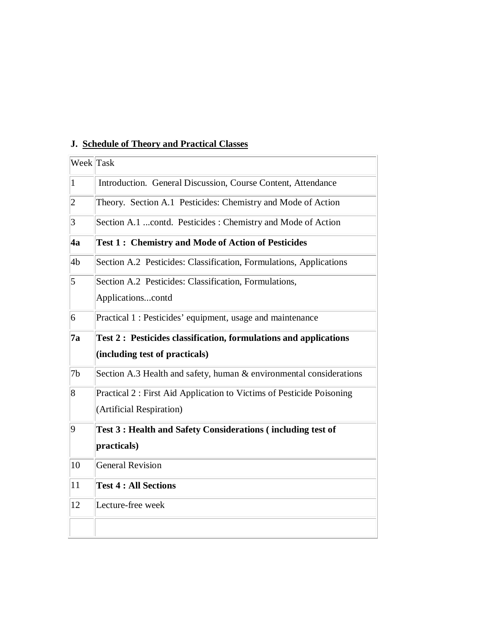| Week Task      |                                                                         |
|----------------|-------------------------------------------------------------------------|
| $\vert$ 1      | Introduction. General Discussion, Course Content, Attendance            |
| $\overline{2}$ | Theory. Section A.1 Pesticides: Chemistry and Mode of Action            |
| 3              | Section A.1 contd. Pesticides: Chemistry and Mode of Action             |
| 4a             | <b>Test 1: Chemistry and Mode of Action of Pesticides</b>               |
| 4b             | Section A.2 Pesticides: Classification, Formulations, Applications      |
| 5              | Section A.2 Pesticides: Classification, Formulations,                   |
|                | Applicationscontd                                                       |
| 6              | Practical 1 : Pesticides' equipment, usage and maintenance              |
| 7a             | <b>Test 2: Pesticides classification, formulations and applications</b> |
|                | (including test of practicals)                                          |
| 7b             | Section A.3 Health and safety, human & environmental considerations     |
| 8              | Practical 2 : First Aid Application to Victims of Pesticide Poisoning   |
|                | (Artificial Respiration)                                                |
| 9              | Test 3 : Health and Safety Considerations (including test of            |
|                | practicals)                                                             |
| 10             | <b>General Revision</b>                                                 |
| 11             | <b>Test 4 : All Sections</b>                                            |
| 12             | Lecture-free week                                                       |
|                |                                                                         |

# **J. Schedule of Theory and Practical Classes**